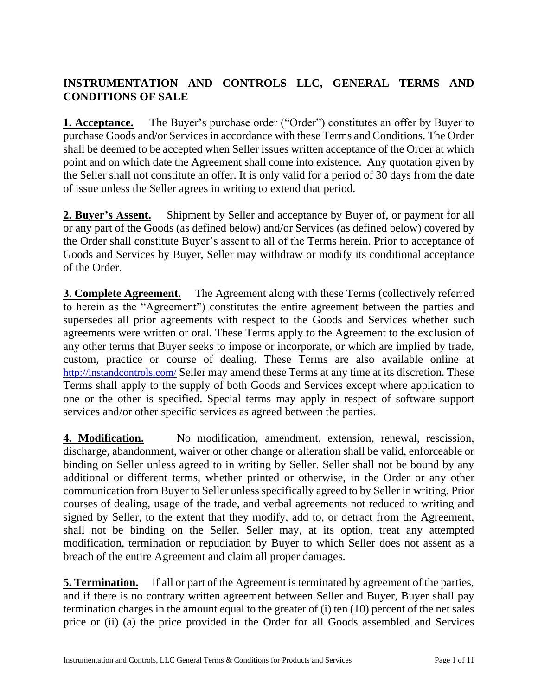## **INSTRUMENTATION AND CONTROLS LLC, GENERAL TERMS AND CONDITIONS OF SALE**

**1. Acceptance.** The Buyer's purchase order ("Order") constitutes an offer by Buyer to purchase Goods and/or Services in accordance with these Terms and Conditions. The Order shall be deemed to be accepted when Seller issues written acceptance of the Order at which point and on which date the Agreement shall come into existence. Any quotation given by the Seller shall not constitute an offer. It is only valid for a period of 30 days from the date of issue unless the Seller agrees in writing to extend that period.

**2. Buyer's Assent.** Shipment by Seller and acceptance by Buyer of, or payment for all or any part of the Goods (as defined below) and/or Services (as defined below) covered by the Order shall constitute Buyer's assent to all of the Terms herein. Prior to acceptance of Goods and Services by Buyer, Seller may withdraw or modify its conditional acceptance of the Order.

**3. Complete Agreement.** The Agreement along with these Terms (collectively referred to herein as the "Agreement") constitutes the entire agreement between the parties and supersedes all prior agreements with respect to the Goods and Services whether such agreements were written or oral. These Terms apply to the Agreement to the exclusion of any other terms that Buyer seeks to impose or incorporate, or which are implied by trade, custom, practice or course of dealing. These Terms are also available online at <http://instandcontrols.com/> Seller may amend these Terms at any time at its discretion. These Terms shall apply to the supply of both Goods and Services except where application to one or the other is specified. Special terms may apply in respect of software support services and/or other specific services as agreed between the parties.

**4. Modification.** No modification, amendment, extension, renewal, rescission, discharge, abandonment, waiver or other change or alteration shall be valid, enforceable or binding on Seller unless agreed to in writing by Seller. Seller shall not be bound by any additional or different terms, whether printed or otherwise, in the Order or any other communication from Buyer to Seller unless specifically agreed to by Seller in writing. Prior courses of dealing, usage of the trade, and verbal agreements not reduced to writing and signed by Seller, to the extent that they modify, add to, or detract from the Agreement, shall not be binding on the Seller. Seller may, at its option, treat any attempted modification, termination or repudiation by Buyer to which Seller does not assent as a breach of the entire Agreement and claim all proper damages.

**<u>5. Termination.</u>** If all or part of the Agreement is terminated by agreement of the parties, and if there is no contrary written agreement between Seller and Buyer, Buyer shall pay termination charges in the amount equal to the greater of (i) ten (10) percent of the net sales price or (ii) (a) the price provided in the Order for all Goods assembled and Services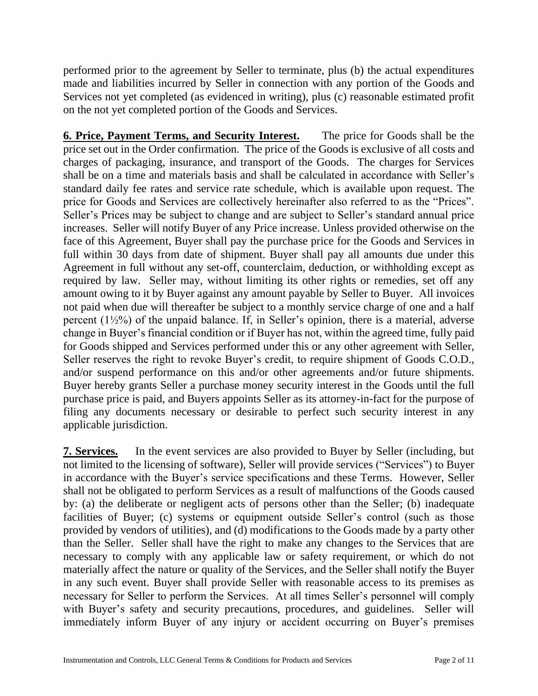performed prior to the agreement by Seller to terminate, plus (b) the actual expenditures made and liabilities incurred by Seller in connection with any portion of the Goods and Services not yet completed (as evidenced in writing), plus (c) reasonable estimated profit on the not yet completed portion of the Goods and Services.

**6. Price, Payment Terms, and Security Interest.** The price for Goods shall be the price set out in the Order confirmation. The price of the Goods is exclusive of all costs and charges of packaging, insurance, and transport of the Goods. The charges for Services shall be on a time and materials basis and shall be calculated in accordance with Seller's standard daily fee rates and service rate schedule, which is available upon request. The price for Goods and Services are collectively hereinafter also referred to as the "Prices". Seller's Prices may be subject to change and are subject to Seller's standard annual price increases. Seller will notify Buyer of any Price increase. Unless provided otherwise on the face of this Agreement, Buyer shall pay the purchase price for the Goods and Services in full within 30 days from date of shipment. Buyer shall pay all amounts due under this Agreement in full without any set-off, counterclaim, deduction, or withholding except as required by law. Seller may, without limiting its other rights or remedies, set off any amount owing to it by Buyer against any amount payable by Seller to Buyer. All invoices not paid when due will thereafter be subject to a monthly service charge of one and a half percent  $(1\frac{1}{2}\%)$  of the unpaid balance. If, in Seller's opinion, there is a material, adverse change in Buyer's financial condition or if Buyer has not, within the agreed time, fully paid for Goods shipped and Services performed under this or any other agreement with Seller, Seller reserves the right to revoke Buyer's credit, to require shipment of Goods C.O.D., and/or suspend performance on this and/or other agreements and/or future shipments. Buyer hereby grants Seller a purchase money security interest in the Goods until the full purchase price is paid, and Buyers appoints Seller as its attorney-in-fact for the purpose of filing any documents necessary or desirable to perfect such security interest in any applicable jurisdiction.

**7. Services.** In the event services are also provided to Buyer by Seller (including, but not limited to the licensing of software), Seller will provide services ("Services") to Buyer in accordance with the Buyer's service specifications and these Terms. However, Seller shall not be obligated to perform Services as a result of malfunctions of the Goods caused by: (a) the deliberate or negligent acts of persons other than the Seller; (b) inadequate facilities of Buyer; (c) systems or equipment outside Seller's control (such as those provided by vendors of utilities), and (d) modifications to the Goods made by a party other than the Seller. Seller shall have the right to make any changes to the Services that are necessary to comply with any applicable law or safety requirement, or which do not materially affect the nature or quality of the Services, and the Seller shall notify the Buyer in any such event. Buyer shall provide Seller with reasonable access to its premises as necessary for Seller to perform the Services. At all times Seller's personnel will comply with Buyer's safety and security precautions, procedures, and guidelines. Seller will immediately inform Buyer of any injury or accident occurring on Buyer's premises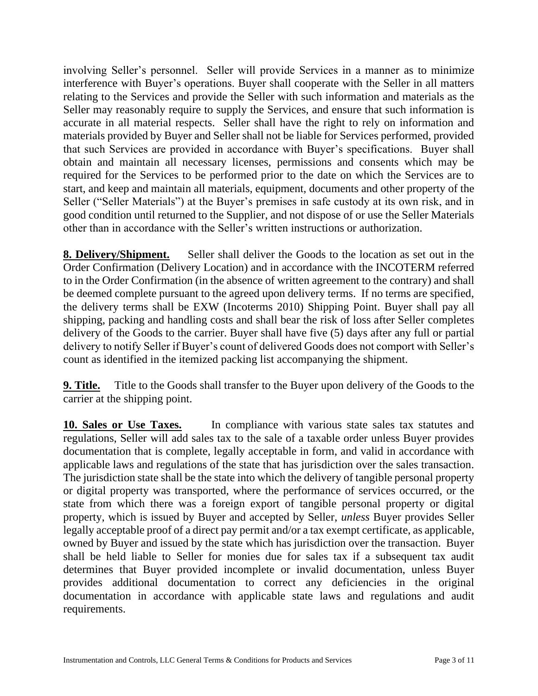involving Seller's personnel. Seller will provide Services in a manner as to minimize interference with Buyer's operations. Buyer shall cooperate with the Seller in all matters relating to the Services and provide the Seller with such information and materials as the Seller may reasonably require to supply the Services, and ensure that such information is accurate in all material respects. Seller shall have the right to rely on information and materials provided by Buyer and Seller shall not be liable for Services performed, provided that such Services are provided in accordance with Buyer's specifications. Buyer shall obtain and maintain all necessary licenses, permissions and consents which may be required for the Services to be performed prior to the date on which the Services are to start, and keep and maintain all materials, equipment, documents and other property of the Seller ("Seller Materials") at the Buyer's premises in safe custody at its own risk, and in good condition until returned to the Supplier, and not dispose of or use the Seller Materials other than in accordance with the Seller's written instructions or authorization.

**8. Delivery/Shipment.** Seller shall deliver the Goods to the location as set out in the Order Confirmation (Delivery Location) and in accordance with the INCOTERM referred to in the Order Confirmation (in the absence of written agreement to the contrary) and shall be deemed complete pursuant to the agreed upon delivery terms. If no terms are specified, the delivery terms shall be EXW (Incoterms 2010) Shipping Point. Buyer shall pay all shipping, packing and handling costs and shall bear the risk of loss after Seller completes delivery of the Goods to the carrier. Buyer shall have five (5) days after any full or partial delivery to notify Seller if Buyer's count of delivered Goods does not comport with Seller's count as identified in the itemized packing list accompanying the shipment.

**9. Title.** Title to the Goods shall transfer to the Buyer upon delivery of the Goods to the carrier at the shipping point.

**10. Sales or Use Taxes.** In compliance with various state sales tax statutes and regulations, Seller will add sales tax to the sale of a taxable order unless Buyer provides documentation that is complete, legally acceptable in form, and valid in accordance with applicable laws and regulations of the state that has jurisdiction over the sales transaction. The jurisdiction state shall be the state into which the delivery of tangible personal property or digital property was transported, where the performance of services occurred, or the state from which there was a foreign export of tangible personal property or digital property, which is issued by Buyer and accepted by Seller, *unless* Buyer provides Seller legally acceptable proof of a direct pay permit and/or a tax exempt certificate, as applicable, owned by Buyer and issued by the state which has jurisdiction over the transaction. Buyer shall be held liable to Seller for monies due for sales tax if a subsequent tax audit determines that Buyer provided incomplete or invalid documentation, unless Buyer provides additional documentation to correct any deficiencies in the original documentation in accordance with applicable state laws and regulations and audit requirements.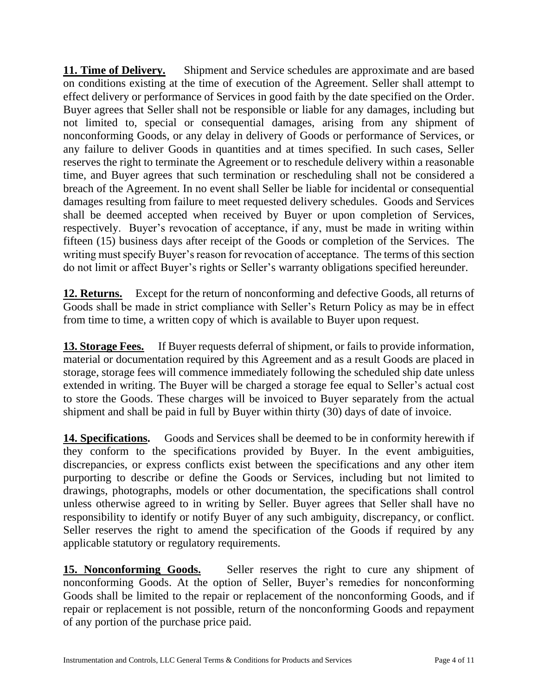**11. Time of Delivery.** Shipment and Service schedules are approximate and are based on conditions existing at the time of execution of the Agreement. Seller shall attempt to effect delivery or performance of Services in good faith by the date specified on the Order. Buyer agrees that Seller shall not be responsible or liable for any damages, including but not limited to, special or consequential damages, arising from any shipment of nonconforming Goods, or any delay in delivery of Goods or performance of Services, or any failure to deliver Goods in quantities and at times specified. In such cases, Seller reserves the right to terminate the Agreement or to reschedule delivery within a reasonable time, and Buyer agrees that such termination or rescheduling shall not be considered a breach of the Agreement. In no event shall Seller be liable for incidental or consequential damages resulting from failure to meet requested delivery schedules. Goods and Services shall be deemed accepted when received by Buyer or upon completion of Services, respectively. Buyer's revocation of acceptance, if any, must be made in writing within fifteen (15) business days after receipt of the Goods or completion of the Services. The writing must specify Buyer's reason for revocation of acceptance. The terms of this section do not limit or affect Buyer's rights or Seller's warranty obligations specified hereunder.

**12. Returns.** Except for the return of nonconforming and defective Goods, all returns of Goods shall be made in strict compliance with Seller's Return Policy as may be in effect from time to time, a written copy of which is available to Buyer upon request.

**13. Storage Fees.** If Buyer requests deferral of shipment, or fails to provide information, material or documentation required by this Agreement and as a result Goods are placed in storage, storage fees will commence immediately following the scheduled ship date unless extended in writing. The Buyer will be charged a storage fee equal to Seller's actual cost to store the Goods. These charges will be invoiced to Buyer separately from the actual shipment and shall be paid in full by Buyer within thirty (30) days of date of invoice.

**14. Specifications.** Goods and Services shall be deemed to be in conformity herewith if they conform to the specifications provided by Buyer. In the event ambiguities, discrepancies, or express conflicts exist between the specifications and any other item purporting to describe or define the Goods or Services, including but not limited to drawings, photographs, models or other documentation, the specifications shall control unless otherwise agreed to in writing by Seller. Buyer agrees that Seller shall have no responsibility to identify or notify Buyer of any such ambiguity, discrepancy, or conflict. Seller reserves the right to amend the specification of the Goods if required by any applicable statutory or regulatory requirements.

**15. Nonconforming Goods.** Seller reserves the right to cure any shipment of nonconforming Goods. At the option of Seller, Buyer's remedies for nonconforming Goods shall be limited to the repair or replacement of the nonconforming Goods, and if repair or replacement is not possible, return of the nonconforming Goods and repayment of any portion of the purchase price paid.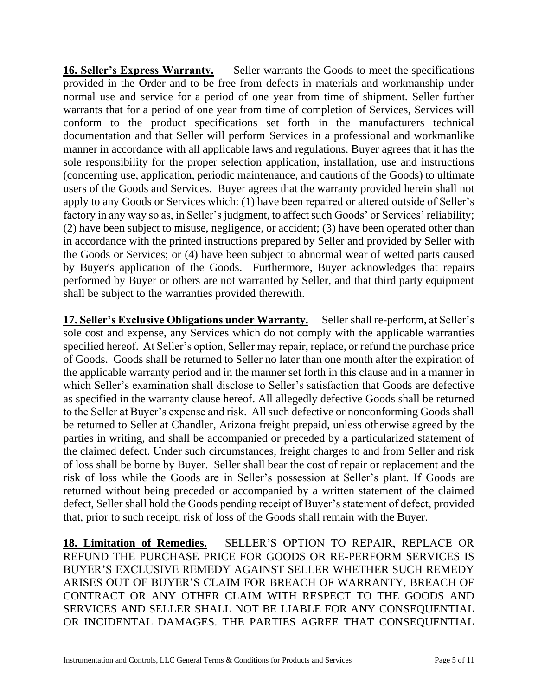**16. Seller's Express Warranty.** Seller warrants the Goods to meet the specifications provided in the Order and to be free from defects in materials and workmanship under normal use and service for a period of one year from time of shipment. Seller further warrants that for a period of one year from time of completion of Services, Services will conform to the product specifications set forth in the manufacturers technical documentation and that Seller will perform Services in a professional and workmanlike manner in accordance with all applicable laws and regulations. Buyer agrees that it has the sole responsibility for the proper selection application, installation, use and instructions (concerning use, application, periodic maintenance, and cautions of the Goods) to ultimate users of the Goods and Services. Buyer agrees that the warranty provided herein shall not apply to any Goods or Services which: (1) have been repaired or altered outside of Seller's factory in any way so as, in Seller's judgment, to affect such Goods' or Services' reliability; (2) have been subject to misuse, negligence, or accident; (3) have been operated other than in accordance with the printed instructions prepared by Seller and provided by Seller with the Goods or Services; or (4) have been subject to abnormal wear of wetted parts caused by Buyer's application of the Goods. Furthermore, Buyer acknowledges that repairs performed by Buyer or others are not warranted by Seller, and that third party equipment shall be subject to the warranties provided therewith.

**17. Seller's Exclusive Obligations under Warranty.** Seller shall re-perform, at Seller's sole cost and expense, any Services which do not comply with the applicable warranties specified hereof. At Seller's option, Seller may repair, replace, or refund the purchase price of Goods. Goods shall be returned to Seller no later than one month after the expiration of the applicable warranty period and in the manner set forth in this clause and in a manner in which Seller's examination shall disclose to Seller's satisfaction that Goods are defective as specified in the warranty clause hereof. All allegedly defective Goods shall be returned to the Seller at Buyer's expense and risk. All such defective or nonconforming Goods shall be returned to Seller at Chandler, Arizona freight prepaid, unless otherwise agreed by the parties in writing, and shall be accompanied or preceded by a particularized statement of the claimed defect. Under such circumstances, freight charges to and from Seller and risk of loss shall be borne by Buyer. Seller shall bear the cost of repair or replacement and the risk of loss while the Goods are in Seller's possession at Seller's plant. If Goods are returned without being preceded or accompanied by a written statement of the claimed defect, Seller shall hold the Goods pending receipt of Buyer's statement of defect, provided that, prior to such receipt, risk of loss of the Goods shall remain with the Buyer.

**18. Limitation of Remedies.** SELLER'S OPTION TO REPAIR, REPLACE OR REFUND THE PURCHASE PRICE FOR GOODS OR RE-PERFORM SERVICES IS BUYER'S EXCLUSIVE REMEDY AGAINST SELLER WHETHER SUCH REMEDY ARISES OUT OF BUYER'S CLAIM FOR BREACH OF WARRANTY, BREACH OF CONTRACT OR ANY OTHER CLAIM WITH RESPECT TO THE GOODS AND SERVICES AND SELLER SHALL NOT BE LIABLE FOR ANY CONSEQUENTIAL OR INCIDENTAL DAMAGES. THE PARTIES AGREE THAT CONSEQUENTIAL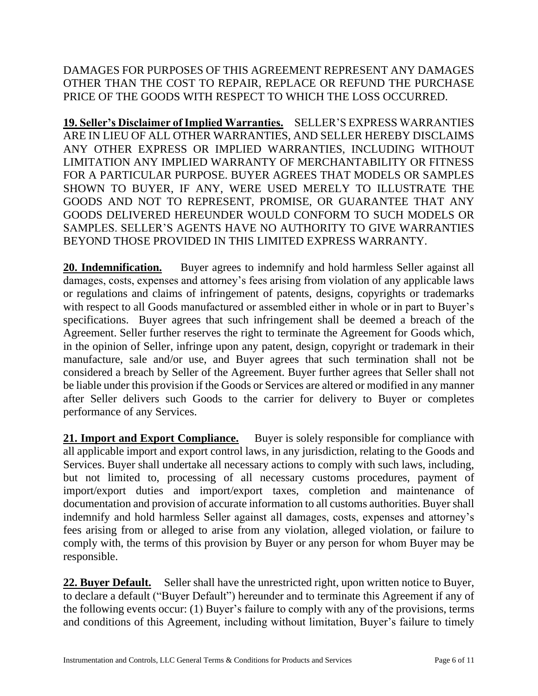DAMAGES FOR PURPOSES OF THIS AGREEMENT REPRESENT ANY DAMAGES OTHER THAN THE COST TO REPAIR, REPLACE OR REFUND THE PURCHASE PRICE OF THE GOODS WITH RESPECT TO WHICH THE LOSS OCCURRED.

**19. Seller's Disclaimer of Implied Warranties.** SELLER'S EXPRESS WARRANTIES ARE IN LIEU OF ALL OTHER WARRANTIES, AND SELLER HEREBY DISCLAIMS ANY OTHER EXPRESS OR IMPLIED WARRANTIES, INCLUDING WITHOUT LIMITATION ANY IMPLIED WARRANTY OF MERCHANTABILITY OR FITNESS FOR A PARTICULAR PURPOSE. BUYER AGREES THAT MODELS OR SAMPLES SHOWN TO BUYER, IF ANY, WERE USED MERELY TO ILLUSTRATE THE GOODS AND NOT TO REPRESENT, PROMISE, OR GUARANTEE THAT ANY GOODS DELIVERED HEREUNDER WOULD CONFORM TO SUCH MODELS OR SAMPLES. SELLER'S AGENTS HAVE NO AUTHORITY TO GIVE WARRANTIES BEYOND THOSE PROVIDED IN THIS LIMITED EXPRESS WARRANTY.

**20. Indemnification.** Buyer agrees to indemnify and hold harmless Seller against all damages, costs, expenses and attorney's fees arising from violation of any applicable laws or regulations and claims of infringement of patents, designs, copyrights or trademarks with respect to all Goods manufactured or assembled either in whole or in part to Buyer's specifications. Buyer agrees that such infringement shall be deemed a breach of the Agreement. Seller further reserves the right to terminate the Agreement for Goods which, in the opinion of Seller, infringe upon any patent, design, copyright or trademark in their manufacture, sale and/or use, and Buyer agrees that such termination shall not be considered a breach by Seller of the Agreement. Buyer further agrees that Seller shall not be liable under this provision if the Goods or Services are altered or modified in any manner after Seller delivers such Goods to the carrier for delivery to Buyer or completes performance of any Services.

21. **Import and Export Compliance.** Buyer is solely responsible for compliance with all applicable import and export control laws, in any jurisdiction, relating to the Goods and Services. Buyer shall undertake all necessary actions to comply with such laws, including, but not limited to, processing of all necessary customs procedures, payment of import/export duties and import/export taxes, completion and maintenance of documentation and provision of accurate information to all customs authorities. Buyer shall indemnify and hold harmless Seller against all damages, costs, expenses and attorney's fees arising from or alleged to arise from any violation, alleged violation, or failure to comply with, the terms of this provision by Buyer or any person for whom Buyer may be responsible.

22. Buyer Default. Seller shall have the unrestricted right, upon written notice to Buyer, to declare a default ("Buyer Default") hereunder and to terminate this Agreement if any of the following events occur: (1) Buyer's failure to comply with any of the provisions, terms and conditions of this Agreement, including without limitation, Buyer's failure to timely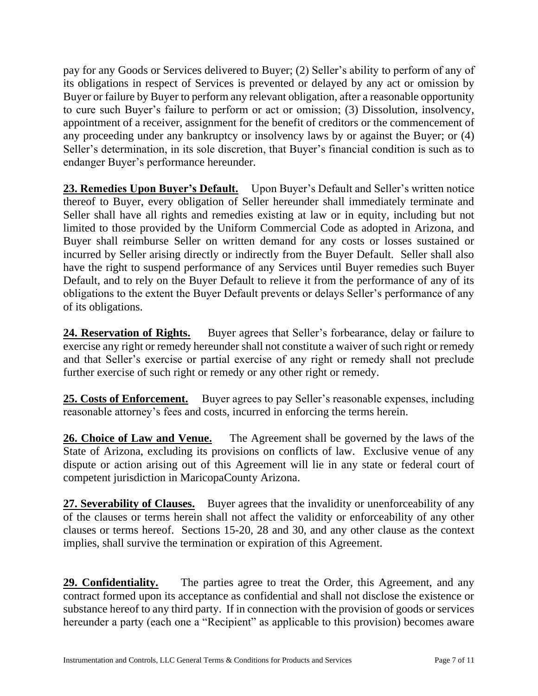pay for any Goods or Services delivered to Buyer; (2) Seller's ability to perform of any of its obligations in respect of Services is prevented or delayed by any act or omission by Buyer or failure by Buyer to perform any relevant obligation, after a reasonable opportunity to cure such Buyer's failure to perform or act or omission; (3) Dissolution, insolvency, appointment of a receiver, assignment for the benefit of creditors or the commencement of any proceeding under any bankruptcy or insolvency laws by or against the Buyer; or (4) Seller's determination, in its sole discretion, that Buyer's financial condition is such as to endanger Buyer's performance hereunder.

**23. Remedies Upon Buyer's Default.** Upon Buyer's Default and Seller's written notice thereof to Buyer, every obligation of Seller hereunder shall immediately terminate and Seller shall have all rights and remedies existing at law or in equity, including but not limited to those provided by the Uniform Commercial Code as adopted in Arizona, and Buyer shall reimburse Seller on written demand for any costs or losses sustained or incurred by Seller arising directly or indirectly from the Buyer Default. Seller shall also have the right to suspend performance of any Services until Buyer remedies such Buyer Default, and to rely on the Buyer Default to relieve it from the performance of any of its obligations to the extent the Buyer Default prevents or delays Seller's performance of any of its obligations.

24. Reservation of Rights. Buyer agrees that Seller's forbearance, delay or failure to exercise any right or remedy hereunder shall not constitute a waiver of such right or remedy and that Seller's exercise or partial exercise of any right or remedy shall not preclude further exercise of such right or remedy or any other right or remedy.

25. Costs of Enforcement. Buyer agrees to pay Seller's reasonable expenses, including reasonable attorney's fees and costs, incurred in enforcing the terms herein.

**26. Choice of Law and Venue.** The Agreement shall be governed by the laws of the State of Arizona, excluding its provisions on conflicts of law. Exclusive venue of any dispute or action arising out of this Agreement will lie in any state or federal court of competent jurisdiction in MaricopaCounty Arizona.

**27. Severability of Clauses.** Buyer agrees that the invalidity or unenforceability of any of the clauses or terms herein shall not affect the validity or enforceability of any other clauses or terms hereof. Sections 15-20, 28 and 30, and any other clause as the context implies, shall survive the termination or expiration of this Agreement.

**29. Confidentiality.** The parties agree to treat the Order, this Agreement, and any contract formed upon its acceptance as confidential and shall not disclose the existence or substance hereof to any third party. If in connection with the provision of goods or services hereunder a party (each one a "Recipient" as applicable to this provision) becomes aware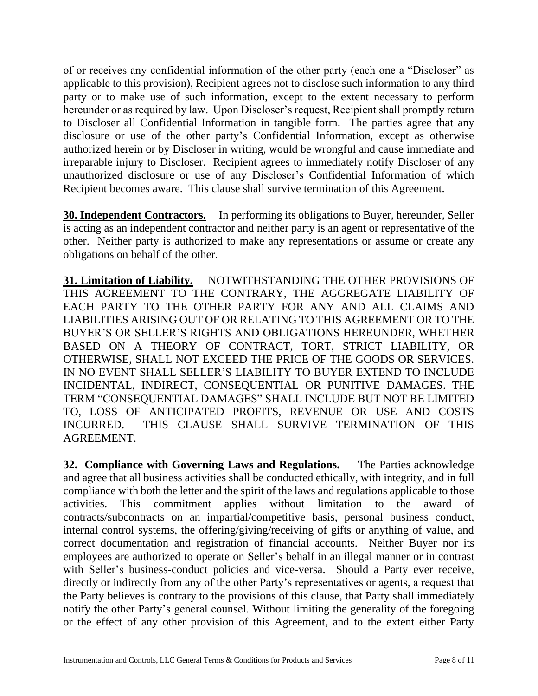of or receives any confidential information of the other party (each one a "Discloser" as applicable to this provision), Recipient agrees not to disclose such information to any third party or to make use of such information, except to the extent necessary to perform hereunder or as required by law. Upon Discloser's request, Recipient shall promptly return to Discloser all Confidential Information in tangible form. The parties agree that any disclosure or use of the other party's Confidential Information, except as otherwise authorized herein or by Discloser in writing, would be wrongful and cause immediate and irreparable injury to Discloser. Recipient agrees to immediately notify Discloser of any unauthorized disclosure or use of any Discloser's Confidential Information of which Recipient becomes aware. This clause shall survive termination of this Agreement.

**30. Independent Contractors.** In performing its obligations to Buyer, hereunder, Seller is acting as an independent contractor and neither party is an agent or representative of the other. Neither party is authorized to make any representations or assume or create any obligations on behalf of the other.

**31. Limitation of Liability.** NOTWITHSTANDING THE OTHER PROVISIONS OF THIS AGREEMENT TO THE CONTRARY, THE AGGREGATE LIABILITY OF EACH PARTY TO THE OTHER PARTY FOR ANY AND ALL CLAIMS AND LIABILITIES ARISING OUT OF OR RELATING TO THIS AGREEMENT OR TO THE BUYER'S OR SELLER'S RIGHTS AND OBLIGATIONS HEREUNDER, WHETHER BASED ON A THEORY OF CONTRACT, TORT, STRICT LIABILITY, OR OTHERWISE, SHALL NOT EXCEED THE PRICE OF THE GOODS OR SERVICES. IN NO EVENT SHALL SELLER'S LIABILITY TO BUYER EXTEND TO INCLUDE INCIDENTAL, INDIRECT, CONSEQUENTIAL OR PUNITIVE DAMAGES. THE TERM "CONSEQUENTIAL DAMAGES" SHALL INCLUDE BUT NOT BE LIMITED TO, LOSS OF ANTICIPATED PROFITS, REVENUE OR USE AND COSTS INCURRED. THIS CLAUSE SHALL SURVIVE TERMINATION OF THIS AGREEMENT.

**32. Compliance with Governing Laws and Regulations.** The Parties acknowledge and agree that all business activities shall be conducted ethically, with integrity, and in full compliance with both the letter and the spirit of the laws and regulations applicable to those activities. This commitment applies without limitation to the award of contracts/subcontracts on an impartial/competitive basis, personal business conduct, internal control systems, the offering/giving/receiving of gifts or anything of value, and correct documentation and registration of financial accounts. Neither Buyer nor its employees are authorized to operate on Seller's behalf in an illegal manner or in contrast with Seller's business-conduct policies and vice-versa. Should a Party ever receive, directly or indirectly from any of the other Party's representatives or agents, a request that the Party believes is contrary to the provisions of this clause, that Party shall immediately notify the other Party's general counsel. Without limiting the generality of the foregoing or the effect of any other provision of this Agreement, and to the extent either Party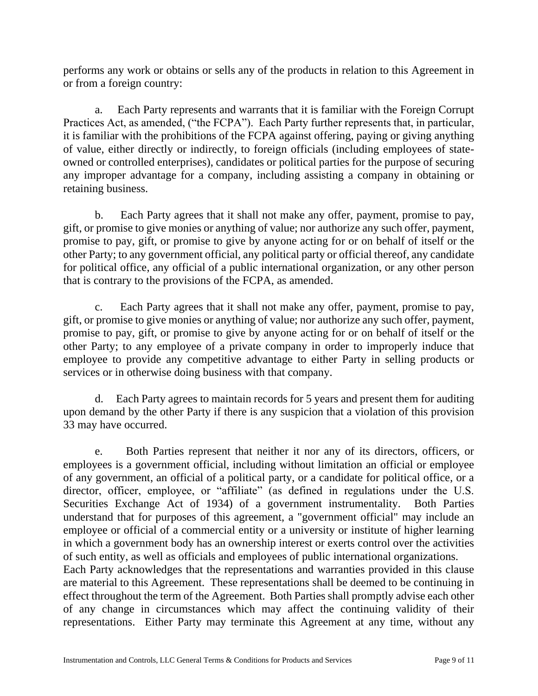performs any work or obtains or sells any of the products in relation to this Agreement in or from a foreign country:

a. Each Party represents and warrants that it is familiar with the Foreign Corrupt Practices Act, as amended, ("the FCPA"). Each Party further represents that, in particular, it is familiar with the prohibitions of the FCPA against offering, paying or giving anything of value, either directly or indirectly, to foreign officials (including employees of stateowned or controlled enterprises), candidates or political parties for the purpose of securing any improper advantage for a company, including assisting a company in obtaining or retaining business.

b. Each Party agrees that it shall not make any offer, payment, promise to pay, gift, or promise to give monies or anything of value; nor authorize any such offer, payment, promise to pay, gift, or promise to give by anyone acting for or on behalf of itself or the other Party; to any government official, any political party or official thereof, any candidate for political office, any official of a public international organization, or any other person that is contrary to the provisions of the FCPA, as amended.

c. Each Party agrees that it shall not make any offer, payment, promise to pay, gift, or promise to give monies or anything of value; nor authorize any such offer, payment, promise to pay, gift, or promise to give by anyone acting for or on behalf of itself or the other Party; to any employee of a private company in order to improperly induce that employee to provide any competitive advantage to either Party in selling products or services or in otherwise doing business with that company.

d. Each Party agrees to maintain records for 5 years and present them for auditing upon demand by the other Party if there is any suspicion that a violation of this provision 33 may have occurred.

e. Both Parties represent that neither it nor any of its directors, officers, or employees is a government official, including without limitation an official or employee of any government, an official of a political party, or a candidate for political office, or a director, officer, employee, or "affiliate" (as defined in regulations under the U.S. Securities Exchange Act of 1934) of a government instrumentality. Both Parties understand that for purposes of this agreement, a "government official" may include an employee or official of a commercial entity or a university or institute of higher learning in which a government body has an ownership interest or exerts control over the activities of such entity, as well as officials and employees of public international organizations. Each Party acknowledges that the representations and warranties provided in this clause are material to this Agreement. These representations shall be deemed to be continuing in

effect throughout the term of the Agreement. Both Parties shall promptly advise each other of any change in circumstances which may affect the continuing validity of their representations. Either Party may terminate this Agreement at any time, without any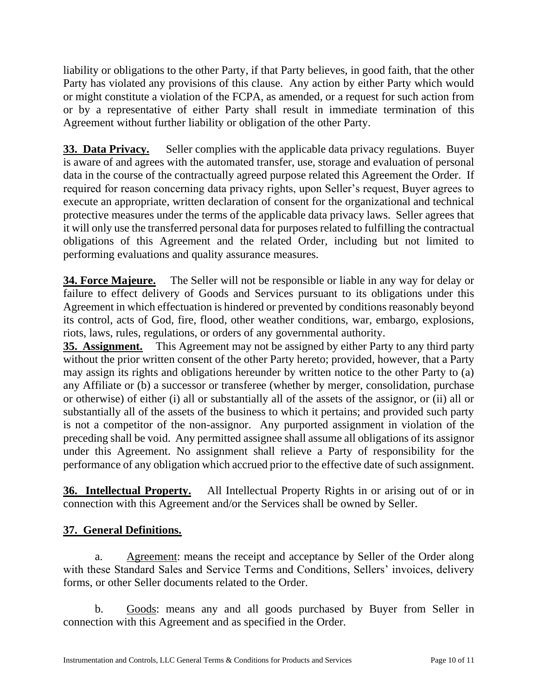liability or obligations to the other Party, if that Party believes, in good faith, that the other Party has violated any provisions of this clause. Any action by either Party which would or might constitute a violation of the FCPA, as amended, or a request for such action from or by a representative of either Party shall result in immediate termination of this Agreement without further liability or obligation of the other Party.

**33. Data Privacy.** Seller complies with the applicable data privacy regulations. Buyer is aware of and agrees with the automated transfer, use, storage and evaluation of personal data in the course of the contractually agreed purpose related this Agreement the Order. If required for reason concerning data privacy rights, upon Seller's request, Buyer agrees to execute an appropriate, written declaration of consent for the organizational and technical protective measures under the terms of the applicable data privacy laws. Seller agrees that it will only use the transferred personal data for purposes related to fulfilling the contractual obligations of this Agreement and the related Order, including but not limited to performing evaluations and quality assurance measures.

**34. Force Majeure.** The Seller will not be responsible or liable in any way for delay or failure to effect delivery of Goods and Services pursuant to its obligations under this Agreement in which effectuation is hindered or prevented by conditions reasonably beyond its control, acts of God, fire, flood, other weather conditions, war, embargo, explosions, riots, laws, rules, regulations, or orders of any governmental authority.

**35. Assignment.** This Agreement may not be assigned by either Party to any third party without the prior written consent of the other Party hereto; provided, however, that a Party may assign its rights and obligations hereunder by written notice to the other Party to (a) any Affiliate or (b) a successor or transferee (whether by merger, consolidation, purchase or otherwise) of either (i) all or substantially all of the assets of the assignor, or (ii) all or substantially all of the assets of the business to which it pertains; and provided such party is not a competitor of the non-assignor. Any purported assignment in violation of the preceding shall be void. Any permitted assignee shall assume all obligations of its assignor under this Agreement. No assignment shall relieve a Party of responsibility for the performance of any obligation which accrued prior to the effective date of such assignment.

**36. Intellectual Property.** All Intellectual Property Rights in or arising out of or in connection with this Agreement and/or the Services shall be owned by Seller.

## **37. General Definitions.**

a. Agreement: means the receipt and acceptance by Seller of the Order along with these Standard Sales and Service Terms and Conditions, Sellers' invoices, delivery forms, or other Seller documents related to the Order.

b. Goods: means any and all goods purchased by Buyer from Seller in connection with this Agreement and as specified in the Order.